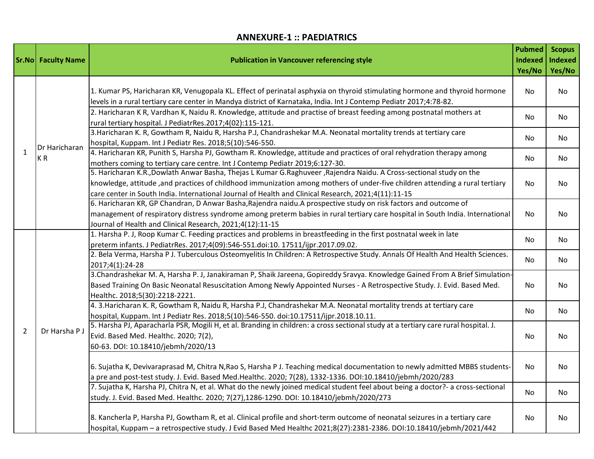## **ANNEXURE-1 :: PAEDIATRICS**

|                | <b>Sr.No</b> Faculty Name | <b>Publication in Vancouver referencing style</b>                                                                                                                                                                                                                                                                                                          | <b>Pubmed</b><br><b>Indexed</b><br>Yes/No | <b>Scopus</b><br><b>Indexed</b><br>Yes/No |
|----------------|---------------------------|------------------------------------------------------------------------------------------------------------------------------------------------------------------------------------------------------------------------------------------------------------------------------------------------------------------------------------------------------------|-------------------------------------------|-------------------------------------------|
| $\mathbf{1}$   | Dr Haricharan<br>KR       | 1. Kumar PS, Haricharan KR, Venugopala KL. Effect of perinatal asphyxia on thyroid stimulating hormone and thyroid hormone<br>levels in a rural tertiary care center in Mandya district of Karnataka, India. Int J Contemp Pediatr 2017;4:78-82.                                                                                                           | No                                        | <b>No</b>                                 |
|                |                           | 2. Haricharan K R, Vardhan K, Naidu R. Knowledge, attitude and practise of breast feeding among postnatal mothers at<br>rural tertiary hospital. J PediatrRes.2017;4(02):115-121.                                                                                                                                                                          | No                                        | No                                        |
|                |                           | 3. Haricharan K. R, Gowtham R, Naidu R, Harsha P.J, Chandrashekar M.A. Neonatal mortality trends at tertiary care<br>hospital, Kuppam. Int J Pediatr Res. 2018;5(10):546-550.                                                                                                                                                                              | No                                        | No                                        |
|                |                           | 4. Haricharan KR, Punith S, Harsha PJ, Gowtham R. Knowledge, attitude and practices of oral rehydration therapy among<br>mothers coming to tertiary care centre. Int J Contemp Pediatr 2019;6:127-30.                                                                                                                                                      | No                                        | No.                                       |
|                |                           | 5. Haricharan K.R., Dowlath Anwar Basha, Thejas L Kumar G.Raghuveer, Rajendra Naidu. A Cross-sectional study on the<br>knowledge, attitude ,and practices of childhood immunization among mothers of under-five children attending a rural tertiary<br>care center in South India. International Journal of Health and Clinical Research, 2021;4(11):11-15 | No                                        | No                                        |
|                |                           | 6. Haricharan KR, GP Chandran, D Anwar Basha, Rajendra naidu. A prospective study on risk factors and outcome of<br>management of respiratory distress syndrome among preterm babies in rural tertiary care hospital in South India. International<br>Journal of Health and Clinical Research, 2021;4(12):11-15                                            | No                                        | No.                                       |
| $\overline{2}$ | Dr Harsha P J             | 1. Harsha P. J, Roop Kumar C. Feeding practices and problems in breastfeeding in the first postnatal week in late<br>preterm infants. J PediatrRes. 2017;4(09):546-551.doi:10. 17511/ijpr.2017.09.02.                                                                                                                                                      | No                                        | No.                                       |
|                |                           | 2. Bela Verma, Harsha P J. Tuberculous Osteomyelitis In Children: A Retrospective Study. Annals Of Health And Health Sciences.<br>2017;4(1):24-28                                                                                                                                                                                                          | No                                        | No.                                       |
|                |                           | 3. Chandrashekar M. A, Harsha P. J, Janakiraman P, Shaik Jareena, Gopireddy Sravya. Knowledge Gained From A Brief Simulation-<br>Based Training On Basic Neonatal Resuscitation Among Newly Appointed Nurses - A Retrospective Study. J. Evid. Based Med.<br>Healthc. 2018;5(30):2218-2221.                                                                | No                                        | No                                        |
|                |                           | 4. 3. Haricharan K. R, Gowtham R, Naidu R, Harsha P.J, Chandrashekar M.A. Neonatal mortality trends at tertiary care<br>hospital, Kuppam. Int J Pediatr Res. 2018;5(10):546-550. doi:10.17511/ijpr.2018.10.11.                                                                                                                                             | No                                        | No.                                       |
|                |                           | 5. Harsha PJ, Aparacharla PSR, Mogili H, et al. Branding in children: a cross sectional study at a tertiary care rural hospital. J.<br>Evid. Based Med. Healthc. 2020; 7(2),<br>60-63. DOI: 10.18410/jebmh/2020/13                                                                                                                                         | No                                        | No                                        |
|                |                           | 6. Sujatha K, Devivaraprasad M, Chitra N, Rao S, Harsha P J. Teaching medical documentation to newly admitted MBBS students-<br>a pre and post-test study. J. Evid. Based Med.Healthc. 2020; 7(28), 1332-1336. DOI:10.18410/jebmh/2020/283                                                                                                                 | No                                        | No                                        |
|                |                           | 7. Sujatha K, Harsha PJ, Chitra N, et al. What do the newly joined medical student feel about being a doctor?- a cross-sectional<br>study. J. Evid. Based Med. Healthc. 2020; 7(27),1286-1290. DOI: 10.18410/jebmh/2020/273                                                                                                                                | No                                        | No.                                       |
|                |                           | 8. Kancherla P, Harsha PJ, Gowtham R, et al. Clinical profile and short-term outcome of neonatal seizures in a tertiary care<br>hospital, Kuppam - a retrospective study. J Evid Based Med Healthc 2021;8(27):2381-2386. DOI:10.18410/jebmh/2021/442                                                                                                       | No                                        | No                                        |